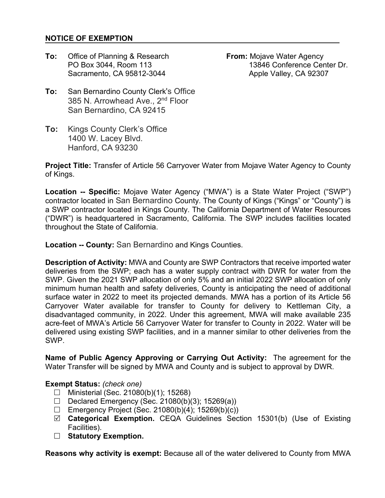## **NOTICE OF EXEMPTION**

**To:** Office of Planning & Research **From:** Mojave Water Agency Sacramento, CA 95812-3044 Apple Valley, CA 92307

PO Box 3044, Room 113 13846 Conference Center Dr.

- **To:** San Bernardino County Clerk's Office 385 N. Arrowhead Ave., 2<sup>nd</sup> Floor San Bernardino, CA 92415
- **To:** Kings County Clerk's Office 1400 W. Lacey Blvd. Hanford, CA 93230

**Project Title:** Transfer of Article 56 Carryover Water from Mojave Water Agency to County of Kings.

**Location -- Specific:** Mojave Water Agency ("MWA") is a State Water Project ("SWP") contractor located in San Bernardino County. The County of Kings ("Kings" or "County") is a SWP contractor located in Kings County. The California Department of Water Resources ("DWR") is headquartered in Sacramento, California. The SWP includes facilities located throughout the State of California.

**Location -- County:** San Bernardino and Kings Counties.

**Description of Activity:** MWA and County are SWP Contractors that receive imported water deliveries from the SWP; each has a water supply contract with DWR for water from the SWP. Given the 2021 SWP allocation of only 5% and an initial 2022 SWP allocation of only minimum human health and safety deliveries, County is anticipating the need of additional surface water in 2022 to meet its projected demands. MWA has a portion of its Article 56 Carryover Water available for transfer to County for delivery to Kettleman City, a disadvantaged community, in 2022. Under this agreement, MWA will make available 235 acre-feet of MWA's Article 56 Carryover Water for transfer to County in 2022. Water will be delivered using existing SWP facilities, and in a manner similar to other deliveries from the SWP.

**Name of Public Agency Approving or Carrying Out Activity:** The agreement for the Water Transfer will be signed by MWA and County and is subject to approval by DWR.

## **Exempt Status:** *(check one)*

- $\Box$  Ministerial (Sec. 21080(b)(1); 15268)
- Declared Emergency (Sec. 21080(b)(3); 15269(a))
- $\Box$  Emergency Project (Sec. 21080(b)(4); 15269(b)(c))
- **Categorical Exemption.** CEQA Guidelines Section 15301(b) (Use of Existing Facilities).
- □ Statutory Exemption.

**Reasons why activity is exempt:** Because all of the water delivered to County from MWA